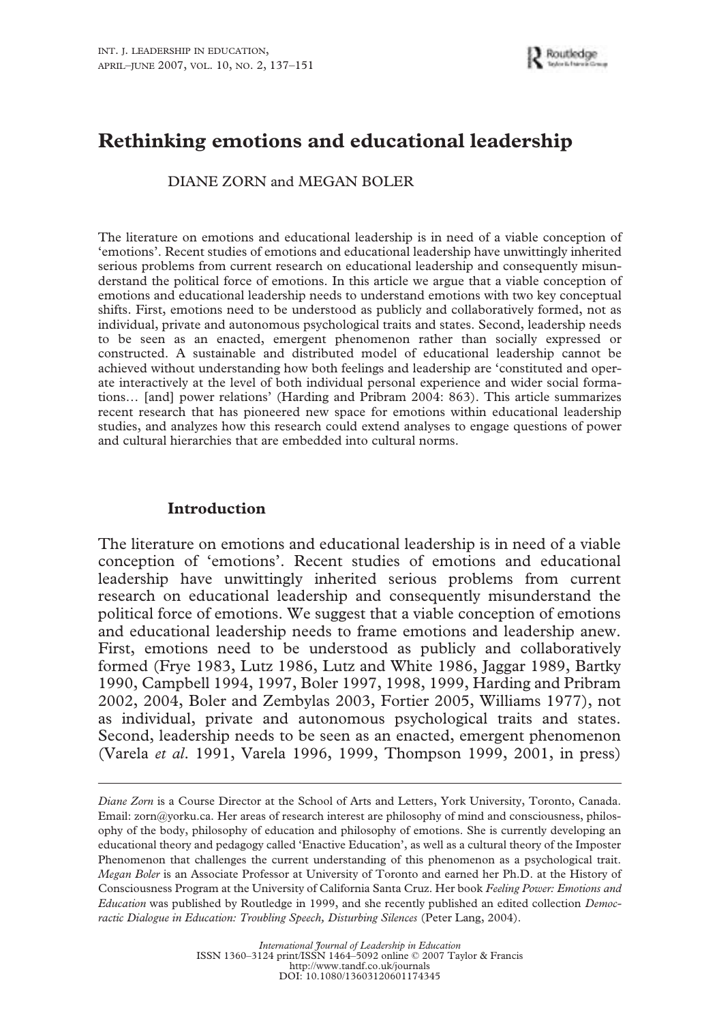# **Rethinking emotions and educational leadership**

DIANE ZORN and MEGAN BOLER

The literature on emotions and educational leadership is in need of a viable conception of 'emotions'. Recent studies of emotions and educational leadership have unwittingly inherited serious problems from current research on educational leadership and consequently misunderstand the political force of emotions. In this article we argue that a viable conception of emotions and educational leadership needs to understand emotions with two key conceptual shifts. First, emotions need to be understood as publicly and collaboratively formed, not as individual, private and autonomous psychological traits and states. Second, leadership needs to be seen as an enacted, emergent phenomenon rather than socially expressed or constructed. A sustainable and distributed model of educational leadership cannot be achieved without understanding how both feelings and leadership are 'constituted and operate interactively at the level of both individual personal experience and wider social formations… [and] power relations' (Harding and Pribram 2004: 863). This article summarizes recent research that has pioneered new space for emotions within educational leadership studies, and analyzes how this research could extend analyses to engage questions of power and cultural hierarchies that are embedded into cultural norms.

# **Introduction**

The literature on emotions and educational leadership is in need of a viable conception of 'emotions'. Recent studies of emotions and educational leadership have unwittingly inherited serious problems from current research on educational leadership and consequently misunderstand the political force of emotions. We suggest that a viable conception of emotions and educational leadership needs to frame emotions and leadership anew. First, emotions need to be understood as publicly and collaboratively formed (Frye 1983, Lutz 1986, Lutz and White 1986, Jaggar 1989, Bartky 1990, Campbell 1994, 1997, Boler 1997, 1998, 1999, Harding and Pribram 2002, 2004, Boler and Zembylas 2003, Fortier 2005, Williams 1977), not as individual, private and autonomous psychological traits and states. Second, leadership needs to be seen as an enacted, emergent phenomenon (Varela *et al*. 1991, Varela 1996, 1999, Thompson 1999, 2001, in press)

*Diane Zorn* is a Course Director at the School of Arts and Letters, York University, Toronto, Canada. Email: zorn@yorku.ca. Her areas of research interest are philosophy of mind and consciousness, philosophy of the body, philosophy of education and philosophy of emotions. She is currently developing an educational theory and pedagogy called 'Enactive Education', as well as a cultural theory of the Imposter Phenomenon that challenges the current understanding of this phenomenon as a psychological trait. *Megan Boler* is an Associate Professor at University of Toronto and earned her Ph.D. at the History of Consciousness Program at the University of California Santa Cruz. Her book *Feeling Power: Emotions and Education* was published by Routledge in 1999, and she recently published an edited collection *Democractic Dialogue in Education: Troubling Speech, Disturbing Silences* (Peter Lang, 2004).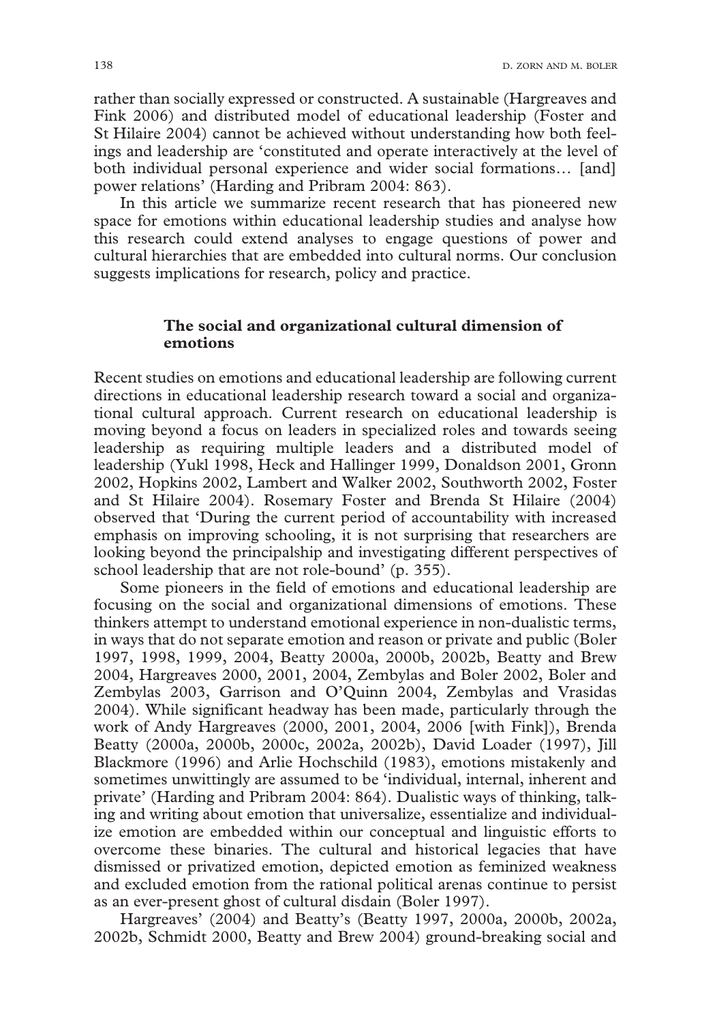rather than socially expressed or constructed. A sustainable (Hargreaves and Fink 2006) and distributed model of educational leadership (Foster and St Hilaire 2004) cannot be achieved without understanding how both feelings and leadership are 'constituted and operate interactively at the level of both individual personal experience and wider social formations… [and] power relations' (Harding and Pribram 2004: 863).

In this article we summarize recent research that has pioneered new space for emotions within educational leadership studies and analyse how this research could extend analyses to engage questions of power and cultural hierarchies that are embedded into cultural norms. Our conclusion suggests implications for research, policy and practice.

# **The social and organizational cultural dimension of emotions**

Recent studies on emotions and educational leadership are following current directions in educational leadership research toward a social and organizational cultural approach. Current research on educational leadership is moving beyond a focus on leaders in specialized roles and towards seeing leadership as requiring multiple leaders and a distributed model of leadership (Yukl 1998, Heck and Hallinger 1999, Donaldson 2001, Gronn 2002, Hopkins 2002, Lambert and Walker 2002, Southworth 2002, Foster and St Hilaire 2004). Rosemary Foster and Brenda St Hilaire (2004) observed that 'During the current period of accountability with increased emphasis on improving schooling, it is not surprising that researchers are looking beyond the principalship and investigating different perspectives of school leadership that are not role-bound' (p. 355).

Some pioneers in the field of emotions and educational leadership are focusing on the social and organizational dimensions of emotions. These thinkers attempt to understand emotional experience in non-dualistic terms, in ways that do not separate emotion and reason or private and public (Boler 1997, 1998, 1999, 2004, Beatty 2000a, 2000b, 2002b, Beatty and Brew 2004, Hargreaves 2000, 2001, 2004, Zembylas and Boler 2002, Boler and Zembylas 2003, Garrison and O'Quinn 2004, Zembylas and Vrasidas 2004). While significant headway has been made, particularly through the work of Andy Hargreaves (2000, 2001, 2004, 2006 [with Fink]), Brenda Beatty (2000a, 2000b, 2000c, 2002a, 2002b), David Loader (1997), Jill Blackmore (1996) and Arlie Hochschild (1983), emotions mistakenly and sometimes unwittingly are assumed to be 'individual, internal, inherent and private' (Harding and Pribram 2004: 864). Dualistic ways of thinking, talking and writing about emotion that universalize, essentialize and individualize emotion are embedded within our conceptual and linguistic efforts to overcome these binaries. The cultural and historical legacies that have dismissed or privatized emotion, depicted emotion as feminized weakness and excluded emotion from the rational political arenas continue to persist as an ever-present ghost of cultural disdain (Boler 1997).

Hargreaves' (2004) and Beatty's (Beatty 1997, 2000a, 2000b, 2002a, 2002b, Schmidt 2000, Beatty and Brew 2004) ground-breaking social and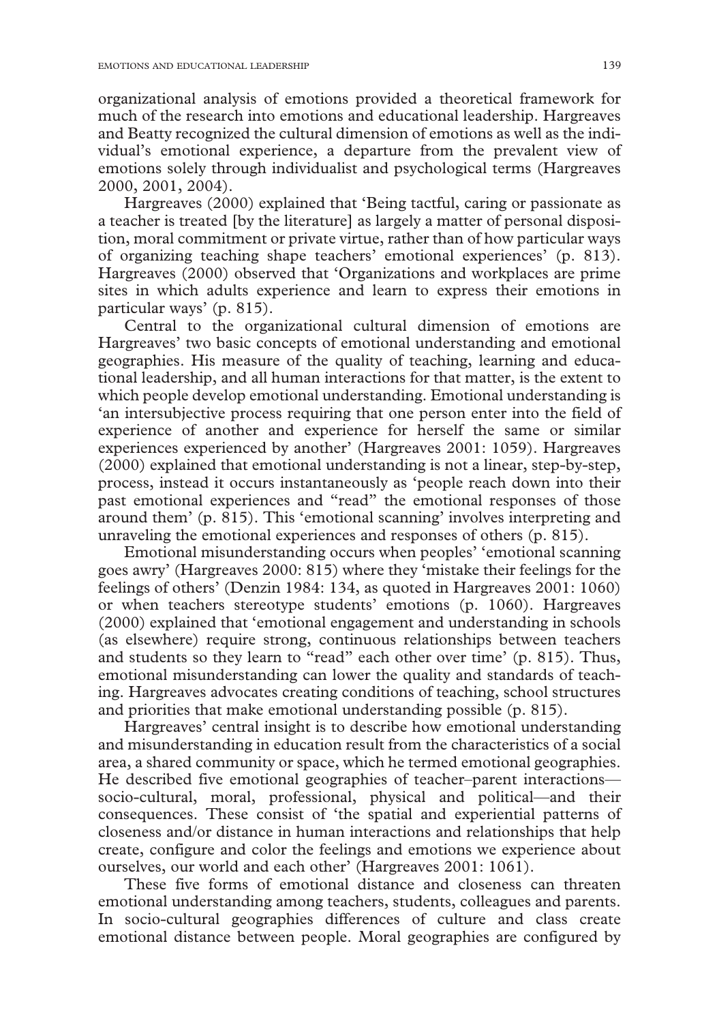organizational analysis of emotions provided a theoretical framework for much of the research into emotions and educational leadership. Hargreaves and Beatty recognized the cultural dimension of emotions as well as the individual's emotional experience, a departure from the prevalent view of emotions solely through individualist and psychological terms (Hargreaves 2000, 2001, 2004).

Hargreaves (2000) explained that 'Being tactful, caring or passionate as a teacher is treated [by the literature] as largely a matter of personal disposition, moral commitment or private virtue, rather than of how particular ways of organizing teaching shape teachers' emotional experiences' (p. 813). Hargreaves (2000) observed that 'Organizations and workplaces are prime sites in which adults experience and learn to express their emotions in particular ways' (p. 815).

Central to the organizational cultural dimension of emotions are Hargreaves' two basic concepts of emotional understanding and emotional geographies. His measure of the quality of teaching, learning and educational leadership, and all human interactions for that matter, is the extent to which people develop emotional understanding. Emotional understanding is 'an intersubjective process requiring that one person enter into the field of experience of another and experience for herself the same or similar experiences experienced by another' (Hargreaves 2001: 1059). Hargreaves (2000) explained that emotional understanding is not a linear, step-by-step, process, instead it occurs instantaneously as 'people reach down into their past emotional experiences and "read" the emotional responses of those around them' (p. 815). This 'emotional scanning' involves interpreting and unraveling the emotional experiences and responses of others (p. 815).

Emotional misunderstanding occurs when peoples' 'emotional scanning goes awry' (Hargreaves 2000: 815) where they 'mistake their feelings for the feelings of others' (Denzin 1984: 134, as quoted in Hargreaves 2001: 1060) or when teachers stereotype students' emotions (p. 1060). Hargreaves (2000) explained that 'emotional engagement and understanding in schools (as elsewhere) require strong, continuous relationships between teachers and students so they learn to "read" each other over time' (p. 815). Thus, emotional misunderstanding can lower the quality and standards of teaching. Hargreaves advocates creating conditions of teaching, school structures and priorities that make emotional understanding possible (p. 815).

Hargreaves' central insight is to describe how emotional understanding and misunderstanding in education result from the characteristics of a social area, a shared community or space, which he termed emotional geographies. He described five emotional geographies of teacher–parent interactions socio-cultural, moral, professional, physical and political—and their consequences. These consist of 'the spatial and experiential patterns of closeness and/or distance in human interactions and relationships that help create, configure and color the feelings and emotions we experience about ourselves, our world and each other' (Hargreaves 2001: 1061).

These five forms of emotional distance and closeness can threaten emotional understanding among teachers, students, colleagues and parents. In socio-cultural geographies differences of culture and class create emotional distance between people. Moral geographies are configured by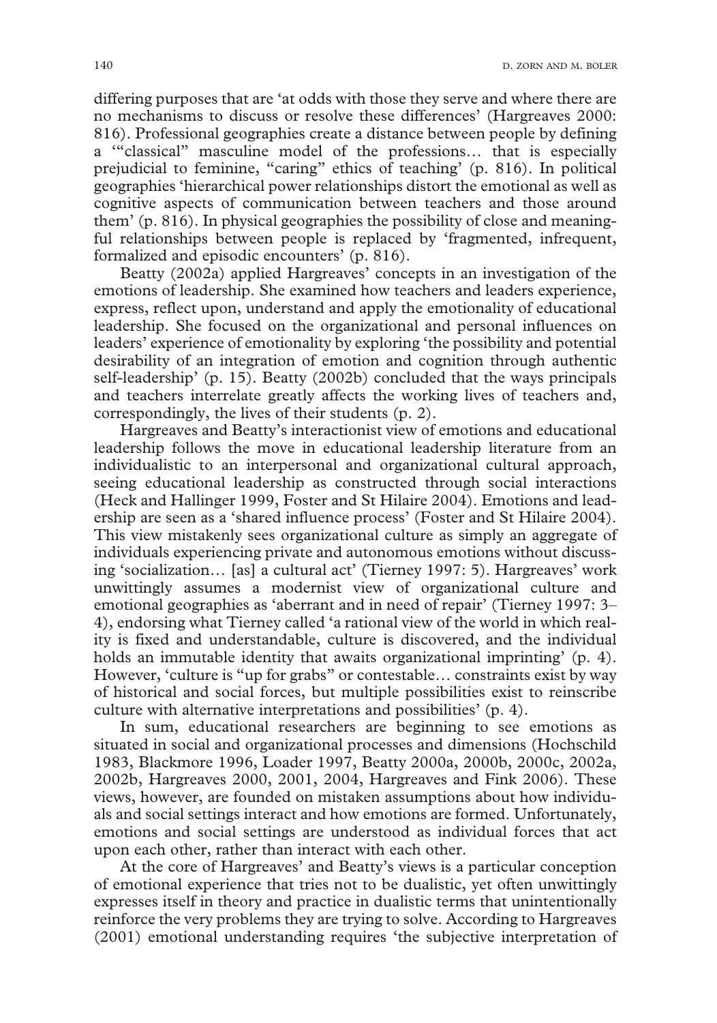differing purposes that are 'at odds with those they serve and where there are no mechanisms to discuss or resolve these differences' (Hargreaves 2000: 816). Professional geographies create a distance between people by defining a '"classical" masculine model of the professions… that is especially prejudicial to feminine, "caring" ethics of teaching' (p. 816). In political geographies 'hierarchical power relationships distort the emotional as well as cognitive aspects of communication between teachers and those around them' (p. 816). In physical geographies the possibility of close and meaningful relationships between people is replaced by 'fragmented, infrequent, formalized and episodic encounters' (p. 816).

Beatty (2002a) applied Hargreaves' concepts in an investigation of the emotions of leadership. She examined how teachers and leaders experience, express, reflect upon, understand and apply the emotionality of educational leadership. She focused on the organizational and personal influences on leaders' experience of emotionality by exploring 'the possibility and potential desirability of an integration of emotion and cognition through authentic self-leadership' (p. 15). Beatty (2002b) concluded that the ways principals and teachers interrelate greatly affects the working lives of teachers and, correspondingly, the lives of their students (p. 2).

Hargreaves and Beatty's interactionist view of emotions and educational leadership follows the move in educational leadership literature from an individualistic to an interpersonal and organizational cultural approach, seeing educational leadership as constructed through social interactions (Heck and Hallinger 1999, Foster and St Hilaire 2004). Emotions and leadership are seen as a 'shared influence process' (Foster and St Hilaire 2004). This view mistakenly sees organizational culture as simply an aggregate of individuals experiencing private and autonomous emotions without discussing 'socialization… [as] a cultural act' (Tierney 1997: 5). Hargreaves' work unwittingly assumes a modernist view of organizational culture and emotional geographies as 'aberrant and in need of repair' (Tierney 1997: 3– 4), endorsing what Tierney called 'a rational view of the world in which reality is fixed and understandable, culture is discovered, and the individual holds an immutable identity that awaits organizational imprinting' (p. 4). However, 'culture is "up for grabs" or contestable… constraints exist by way of historical and social forces, but multiple possibilities exist to reinscribe culture with alternative interpretations and possibilities' (p. 4).

In sum, educational researchers are beginning to see emotions as situated in social and organizational processes and dimensions (Hochschild 1983, Blackmore 1996, Loader 1997, Beatty 2000a, 2000b, 2000c, 2002a, 2002b, Hargreaves 2000, 2001, 2004, Hargreaves and Fink 2006). These views, however, are founded on mistaken assumptions about how individuals and social settings interact and how emotions are formed. Unfortunately, emotions and social settings are understood as individual forces that act upon each other, rather than interact with each other.

At the core of Hargreaves' and Beatty's views is a particular conception of emotional experience that tries not to be dualistic, yet often unwittingly expresses itself in theory and practice in dualistic terms that unintentionally reinforce the very problems they are trying to solve. According to Hargreaves (2001) emotional understanding requires 'the subjective interpretation of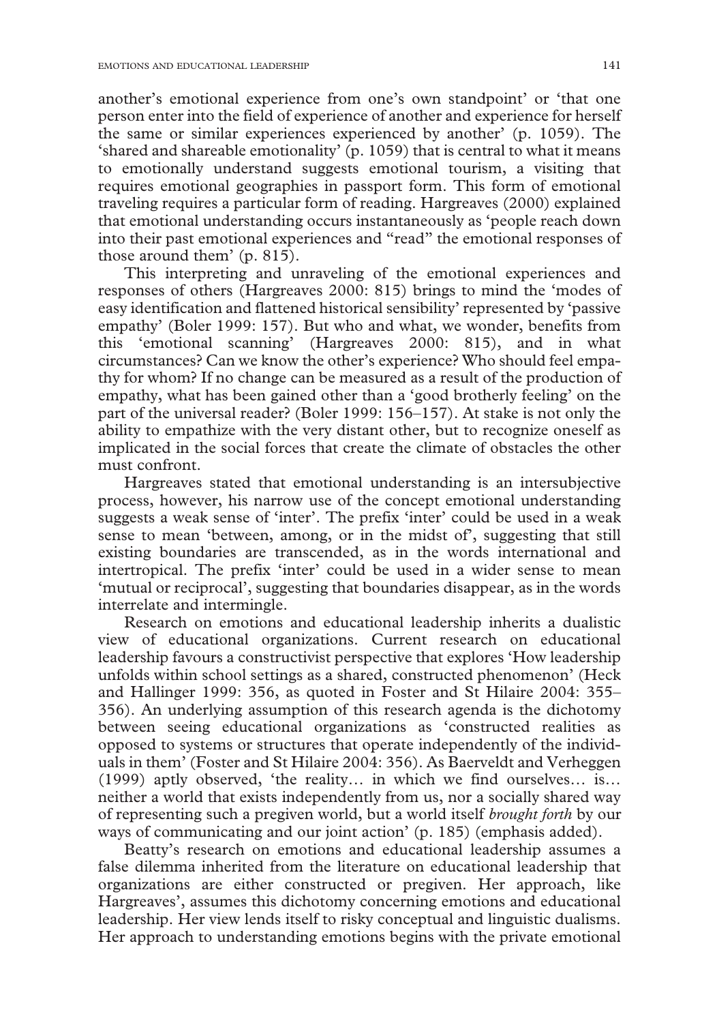another's emotional experience from one's own standpoint' or 'that one person enter into the field of experience of another and experience for herself the same or similar experiences experienced by another' (p. 1059). The 'shared and shareable emotionality' (p. 1059) that is central to what it means to emotionally understand suggests emotional tourism, a visiting that requires emotional geographies in passport form. This form of emotional traveling requires a particular form of reading. Hargreaves (2000) explained that emotional understanding occurs instantaneously as 'people reach down into their past emotional experiences and "read" the emotional responses of those around them' (p. 815).

This interpreting and unraveling of the emotional experiences and responses of others (Hargreaves 2000: 815) brings to mind the 'modes of easy identification and flattened historical sensibility' represented by 'passive empathy' (Boler 1999: 157). But who and what, we wonder, benefits from this 'emotional scanning' (Hargreaves 2000: 815), and in what circumstances? Can we know the other's experience? Who should feel empathy for whom? If no change can be measured as a result of the production of empathy, what has been gained other than a 'good brotherly feeling' on the part of the universal reader? (Boler 1999: 156–157). At stake is not only the ability to empathize with the very distant other, but to recognize oneself as implicated in the social forces that create the climate of obstacles the other must confront.

Hargreaves stated that emotional understanding is an intersubjective process, however, his narrow use of the concept emotional understanding suggests a weak sense of 'inter'. The prefix 'inter' could be used in a weak sense to mean 'between, among, or in the midst of', suggesting that still existing boundaries are transcended, as in the words international and intertropical. The prefix 'inter' could be used in a wider sense to mean 'mutual or reciprocal', suggesting that boundaries disappear, as in the words interrelate and intermingle.

Research on emotions and educational leadership inherits a dualistic view of educational organizations. Current research on educational leadership favours a constructivist perspective that explores 'How leadership unfolds within school settings as a shared, constructed phenomenon' (Heck and Hallinger 1999: 356, as quoted in Foster and St Hilaire 2004: 355– 356). An underlying assumption of this research agenda is the dichotomy between seeing educational organizations as 'constructed realities as opposed to systems or structures that operate independently of the individuals in them' (Foster and St Hilaire 2004: 356). As Baerveldt and Verheggen (1999) aptly observed, 'the reality… in which we find ourselves… is… neither a world that exists independently from us, nor a socially shared way of representing such a pregiven world, but a world itself *brought forth* by our ways of communicating and our joint action' (p. 185) (emphasis added).

Beatty's research on emotions and educational leadership assumes a false dilemma inherited from the literature on educational leadership that organizations are either constructed or pregiven. Her approach, like Hargreaves', assumes this dichotomy concerning emotions and educational leadership. Her view lends itself to risky conceptual and linguistic dualisms. Her approach to understanding emotions begins with the private emotional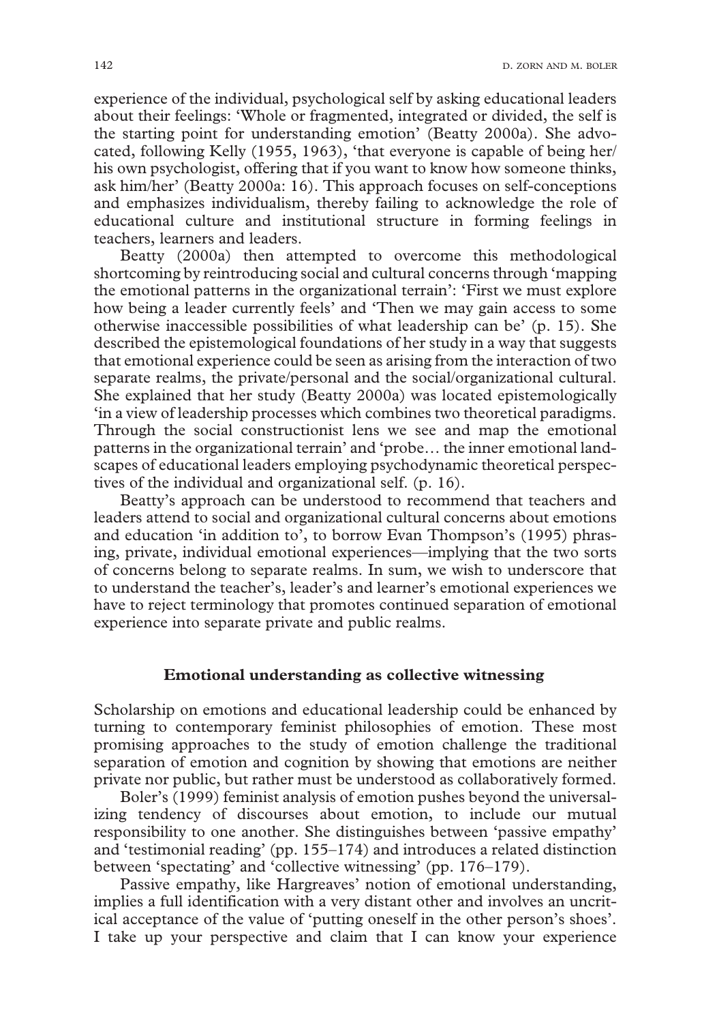experience of the individual, psychological self by asking educational leaders about their feelings: 'Whole or fragmented, integrated or divided, the self is the starting point for understanding emotion' (Beatty 2000a). She advocated, following Kelly (1955, 1963), 'that everyone is capable of being her/ his own psychologist, offering that if you want to know how someone thinks, ask him/her' (Beatty 2000a: 16). This approach focuses on self-conceptions and emphasizes individualism, thereby failing to acknowledge the role of educational culture and institutional structure in forming feelings in teachers, learners and leaders.

Beatty (2000a) then attempted to overcome this methodological shortcoming by reintroducing social and cultural concerns through 'mapping the emotional patterns in the organizational terrain': 'First we must explore how being a leader currently feels' and 'Then we may gain access to some otherwise inaccessible possibilities of what leadership can be' (p. 15). She described the epistemological foundations of her study in a way that suggests that emotional experience could be seen as arising from the interaction of two separate realms, the private/personal and the social/organizational cultural. She explained that her study (Beatty 2000a) was located epistemologically 'in a view of leadership processes which combines two theoretical paradigms. Through the social constructionist lens we see and map the emotional patterns in the organizational terrain' and 'probe… the inner emotional landscapes of educational leaders employing psychodynamic theoretical perspectives of the individual and organizational self. (p. 16).

Beatty's approach can be understood to recommend that teachers and leaders attend to social and organizational cultural concerns about emotions and education 'in addition to', to borrow Evan Thompson's (1995) phrasing, private, individual emotional experiences—implying that the two sorts of concerns belong to separate realms. In sum, we wish to underscore that to understand the teacher's, leader's and learner's emotional experiences we have to reject terminology that promotes continued separation of emotional experience into separate private and public realms.

# **Emotional understanding as collective witnessing**

Scholarship on emotions and educational leadership could be enhanced by turning to contemporary feminist philosophies of emotion. These most promising approaches to the study of emotion challenge the traditional separation of emotion and cognition by showing that emotions are neither private nor public, but rather must be understood as collaboratively formed.

Boler's (1999) feminist analysis of emotion pushes beyond the universalizing tendency of discourses about emotion, to include our mutual responsibility to one another. She distinguishes between 'passive empathy' and 'testimonial reading' (pp. 155–174) and introduces a related distinction between 'spectating' and 'collective witnessing' (pp. 176–179).

Passive empathy, like Hargreaves' notion of emotional understanding, implies a full identification with a very distant other and involves an uncritical acceptance of the value of 'putting oneself in the other person's shoes'. I take up your perspective and claim that I can know your experience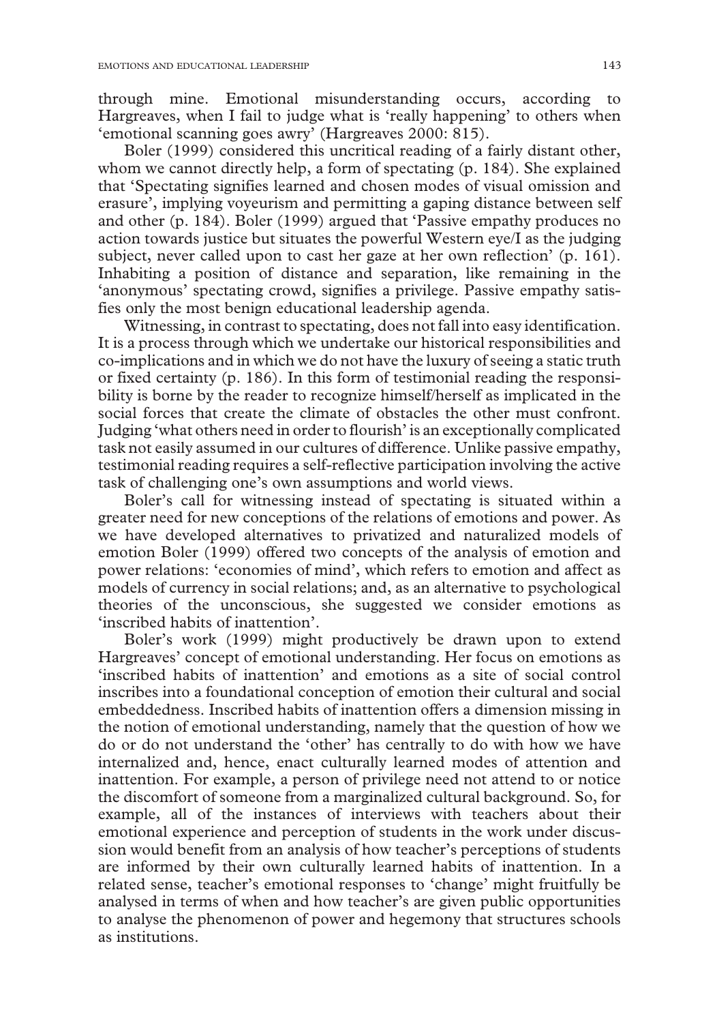through mine. Emotional misunderstanding occurs, according to Hargreaves, when I fail to judge what is 'really happening' to others when 'emotional scanning goes awry' (Hargreaves 2000: 815).

Boler (1999) considered this uncritical reading of a fairly distant other, whom we cannot directly help, a form of spectating (p. 184). She explained that 'Spectating signifies learned and chosen modes of visual omission and erasure', implying voyeurism and permitting a gaping distance between self and other (p. 184). Boler (1999) argued that 'Passive empathy produces no action towards justice but situates the powerful Western eye/I as the judging subject, never called upon to cast her gaze at her own reflection' (p. 161). Inhabiting a position of distance and separation, like remaining in the 'anonymous' spectating crowd, signifies a privilege. Passive empathy satisfies only the most benign educational leadership agenda.

Witnessing, in contrast to spectating, does not fall into easy identification. It is a process through which we undertake our historical responsibilities and co-implications and in which we do not have the luxury of seeing a static truth or fixed certainty (p. 186). In this form of testimonial reading the responsibility is borne by the reader to recognize himself/herself as implicated in the social forces that create the climate of obstacles the other must confront. Judging 'what others need in order to flourish' is an exceptionally complicated task not easily assumed in our cultures of difference. Unlike passive empathy, testimonial reading requires a self-reflective participation involving the active task of challenging one's own assumptions and world views.

Boler's call for witnessing instead of spectating is situated within a greater need for new conceptions of the relations of emotions and power. As we have developed alternatives to privatized and naturalized models of emotion Boler (1999) offered two concepts of the analysis of emotion and power relations: 'economies of mind', which refers to emotion and affect as models of currency in social relations; and, as an alternative to psychological theories of the unconscious, she suggested we consider emotions as 'inscribed habits of inattention'.

Boler's work (1999) might productively be drawn upon to extend Hargreaves' concept of emotional understanding. Her focus on emotions as 'inscribed habits of inattention' and emotions as a site of social control inscribes into a foundational conception of emotion their cultural and social embeddedness. Inscribed habits of inattention offers a dimension missing in the notion of emotional understanding, namely that the question of how we do or do not understand the 'other' has centrally to do with how we have internalized and, hence, enact culturally learned modes of attention and inattention. For example, a person of privilege need not attend to or notice the discomfort of someone from a marginalized cultural background. So, for example, all of the instances of interviews with teachers about their emotional experience and perception of students in the work under discussion would benefit from an analysis of how teacher's perceptions of students are informed by their own culturally learned habits of inattention. In a related sense, teacher's emotional responses to 'change' might fruitfully be analysed in terms of when and how teacher's are given public opportunities to analyse the phenomenon of power and hegemony that structures schools as institutions.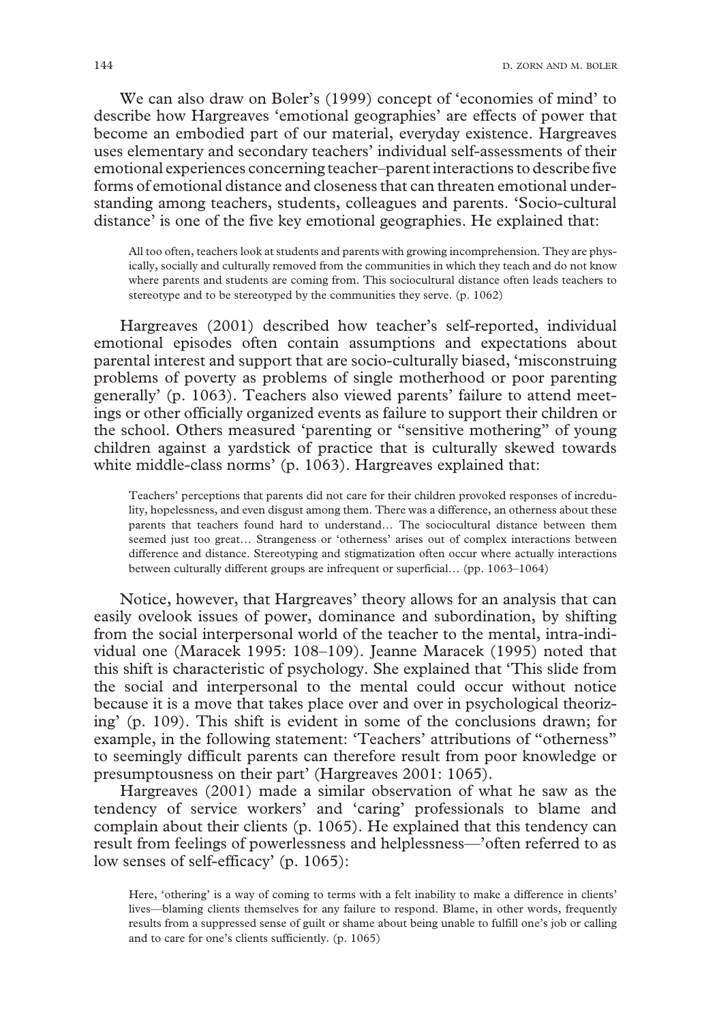We can also draw on Boler's (1999) concept of 'economies of mind' to describe how Hargreaves 'emotional geographies' are effects of power that become an embodied part of our material, everyday existence. Hargreaves uses elementary and secondary teachers' individual self-assessments of their emotional experiences concerning teacher–parent interactions to describe five forms of emotional distance and closeness that can threaten emotional understanding among teachers, students, colleagues and parents. 'Socio-cultural distance' is one of the five key emotional geographies. He explained that:

All too often, teachers look at students and parents with growing incomprehension. They are physically, socially and culturally removed from the communities in which they teach and do not know where parents and students are coming from. This sociocultural distance often leads teachers to stereotype and to be stereotyped by the communities they serve. (p. 1062)

Hargreaves (2001) described how teacher's self-reported, individual emotional episodes often contain assumptions and expectations about parental interest and support that are socio-culturally biased, 'misconstruing problems of poverty as problems of single motherhood or poor parenting generally' (p. 1063). Teachers also viewed parents' failure to attend meetings or other officially organized events as failure to support their children or the school. Others measured 'parenting or "sensitive mothering" of young children against a yardstick of practice that is culturally skewed towards white middle-class norms' (p. 1063). Hargreaves explained that:

Teachers' perceptions that parents did not care for their children provoked responses of incredulity, hopelessness, and even disgust among them. There was a difference, an otherness about these parents that teachers found hard to understand… The sociocultural distance between them seemed just too great… Strangeness or 'otherness' arises out of complex interactions between difference and distance. Stereotyping and stigmatization often occur where actually interactions between culturally different groups are infrequent or superficial… (pp. 1063–1064)

Notice, however, that Hargreaves' theory allows for an analysis that can easily ovelook issues of power, dominance and subordination, by shifting from the social interpersonal world of the teacher to the mental, intra-individual one (Maracek 1995: 108–109). Jeanne Maracek (1995) noted that this shift is characteristic of psychology. She explained that 'This slide from the social and interpersonal to the mental could occur without notice because it is a move that takes place over and over in psychological theorizing' (p. 109). This shift is evident in some of the conclusions drawn; for example, in the following statement: 'Teachers' attributions of "otherness" to seemingly difficult parents can therefore result from poor knowledge or presumptousness on their part' (Hargreaves 2001: 1065).

Hargreaves (2001) made a similar observation of what he saw as the tendency of service workers' and 'caring' professionals to blame and complain about their clients (p. 1065). He explained that this tendency can result from feelings of powerlessness and helplessness—'often referred to as low senses of self-efficacy' (p. 1065):

Here, 'othering' is a way of coming to terms with a felt inability to make a difference in clients' lives—blaming clients themselves for any failure to respond. Blame, in other words, frequently results from a suppressed sense of guilt or shame about being unable to fulfill one's job or calling and to care for one's clients sufficiently. (p. 1065)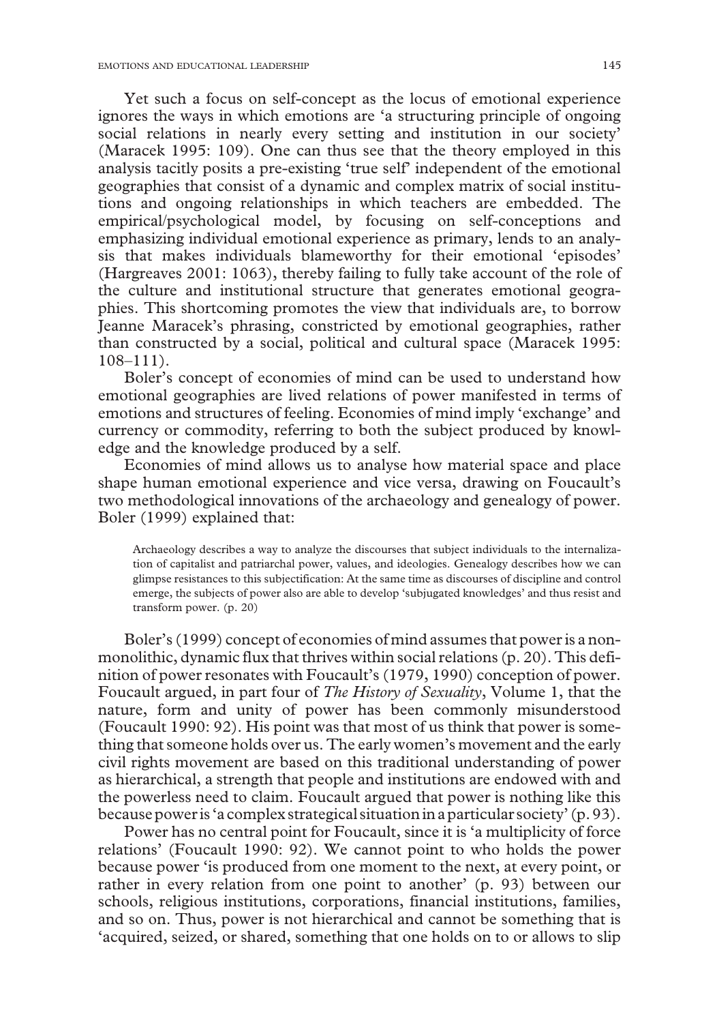Yet such a focus on self-concept as the locus of emotional experience ignores the ways in which emotions are 'a structuring principle of ongoing social relations in nearly every setting and institution in our society' (Maracek 1995: 109). One can thus see that the theory employed in this analysis tacitly posits a pre-existing 'true self' independent of the emotional geographies that consist of a dynamic and complex matrix of social institutions and ongoing relationships in which teachers are embedded. The empirical/psychological model, by focusing on self-conceptions and emphasizing individual emotional experience as primary, lends to an analysis that makes individuals blameworthy for their emotional 'episodes' (Hargreaves 2001: 1063), thereby failing to fully take account of the role of the culture and institutional structure that generates emotional geographies. This shortcoming promotes the view that individuals are, to borrow Jeanne Maracek's phrasing, constricted by emotional geographies, rather than constructed by a social, political and cultural space (Maracek 1995: 108–111).

Boler's concept of economies of mind can be used to understand how emotional geographies are lived relations of power manifested in terms of emotions and structures of feeling. Economies of mind imply 'exchange' and currency or commodity, referring to both the subject produced by knowledge and the knowledge produced by a self.

Economies of mind allows us to analyse how material space and place shape human emotional experience and vice versa, drawing on Foucault's two methodological innovations of the archaeology and genealogy of power. Boler (1999) explained that:

Archaeology describes a way to analyze the discourses that subject individuals to the internalization of capitalist and patriarchal power, values, and ideologies. Genealogy describes how we can glimpse resistances to this subjectification: At the same time as discourses of discipline and control emerge, the subjects of power also are able to develop 'subjugated knowledges' and thus resist and transform power. (p. 20)

Boler's (1999) concept of economies of mind assumes that power is a nonmonolithic, dynamic flux that thrives within social relations (p. 20). This definition of power resonates with Foucault's (1979, 1990) conception of power. Foucault argued, in part four of *The History of Sexuality*, Volume 1, that the nature, form and unity of power has been commonly misunderstood (Foucault 1990: 92). His point was that most of us think that power is something that someone holds over us. The early women's movement and the early civil rights movement are based on this traditional understanding of power as hierarchical, a strength that people and institutions are endowed with and the powerless need to claim. Foucault argued that power is nothing like this because power is 'a complex strategical situation in a particular society' (p. 93).

Power has no central point for Foucault, since it is 'a multiplicity of force relations' (Foucault 1990: 92). We cannot point to who holds the power because power 'is produced from one moment to the next, at every point, or rather in every relation from one point to another' (p. 93) between our schools, religious institutions, corporations, financial institutions, families, and so on. Thus, power is not hierarchical and cannot be something that is 'acquired, seized, or shared, something that one holds on to or allows to slip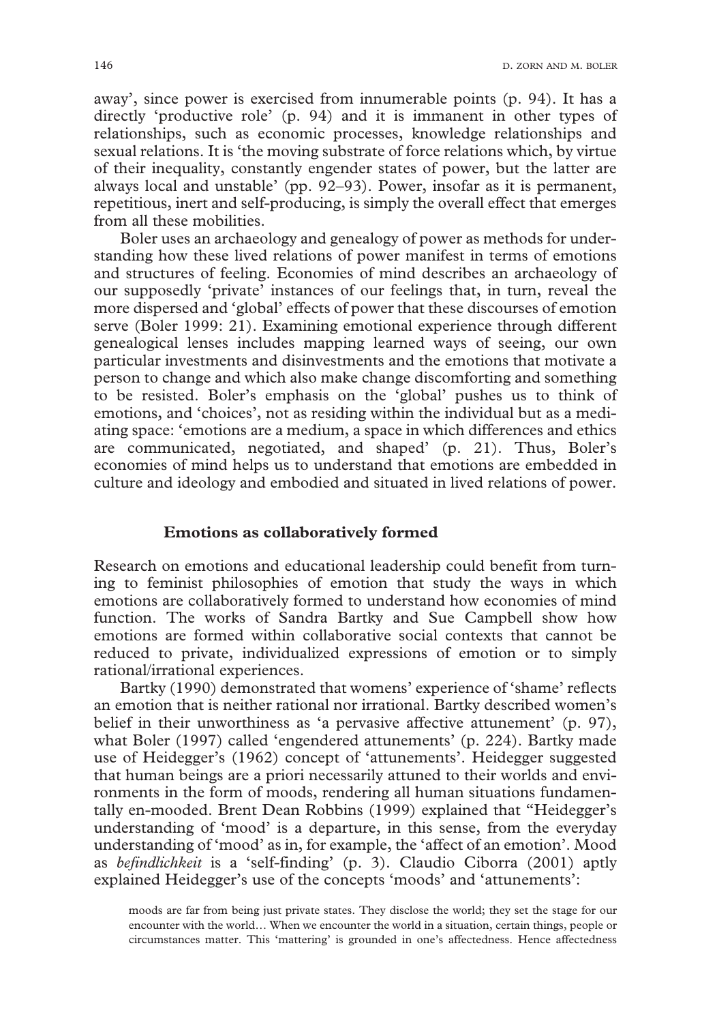away', since power is exercised from innumerable points (p. 94). It has a directly 'productive role' (p. 94) and it is immanent in other types of relationships, such as economic processes, knowledge relationships and sexual relations. It is 'the moving substrate of force relations which, by virtue of their inequality, constantly engender states of power, but the latter are always local and unstable' (pp. 92–93). Power, insofar as it is permanent, repetitious, inert and self-producing, is simply the overall effect that emerges from all these mobilities.

Boler uses an archaeology and genealogy of power as methods for understanding how these lived relations of power manifest in terms of emotions and structures of feeling. Economies of mind describes an archaeology of our supposedly 'private' instances of our feelings that, in turn, reveal the more dispersed and 'global' effects of power that these discourses of emotion serve (Boler 1999: 21). Examining emotional experience through different genealogical lenses includes mapping learned ways of seeing, our own particular investments and disinvestments and the emotions that motivate a person to change and which also make change discomforting and something to be resisted. Boler's emphasis on the 'global' pushes us to think of emotions, and 'choices', not as residing within the individual but as a mediating space: 'emotions are a medium, a space in which differences and ethics are communicated, negotiated, and shaped' (p. 21). Thus, Boler's economies of mind helps us to understand that emotions are embedded in culture and ideology and embodied and situated in lived relations of power.

#### **Emotions as collaboratively formed**

Research on emotions and educational leadership could benefit from turning to feminist philosophies of emotion that study the ways in which emotions are collaboratively formed to understand how economies of mind function. The works of Sandra Bartky and Sue Campbell show how emotions are formed within collaborative social contexts that cannot be reduced to private, individualized expressions of emotion or to simply rational/irrational experiences.

Bartky (1990) demonstrated that womens' experience of 'shame' reflects an emotion that is neither rational nor irrational. Bartky described women's belief in their unworthiness as 'a pervasive affective attunement' (p. 97), what Boler (1997) called 'engendered attunements' (p. 224). Bartky made use of Heidegger's (1962) concept of 'attunements'. Heidegger suggested that human beings are a priori necessarily attuned to their worlds and environments in the form of moods, rendering all human situations fundamentally en-mooded. Brent Dean Robbins (1999) explained that "Heidegger's understanding of 'mood' is a departure, in this sense, from the everyday understanding of 'mood' as in, for example, the 'affect of an emotion'. Mood as *befindlichkeit* is a 'self-finding' (p. 3). Claudio Ciborra (2001) aptly explained Heidegger's use of the concepts 'moods' and 'attunements':

moods are far from being just private states. They disclose the world; they set the stage for our encounter with the world… When we encounter the world in a situation, certain things, people or circumstances matter. This 'mattering' is grounded in one's affectedness. Hence affectedness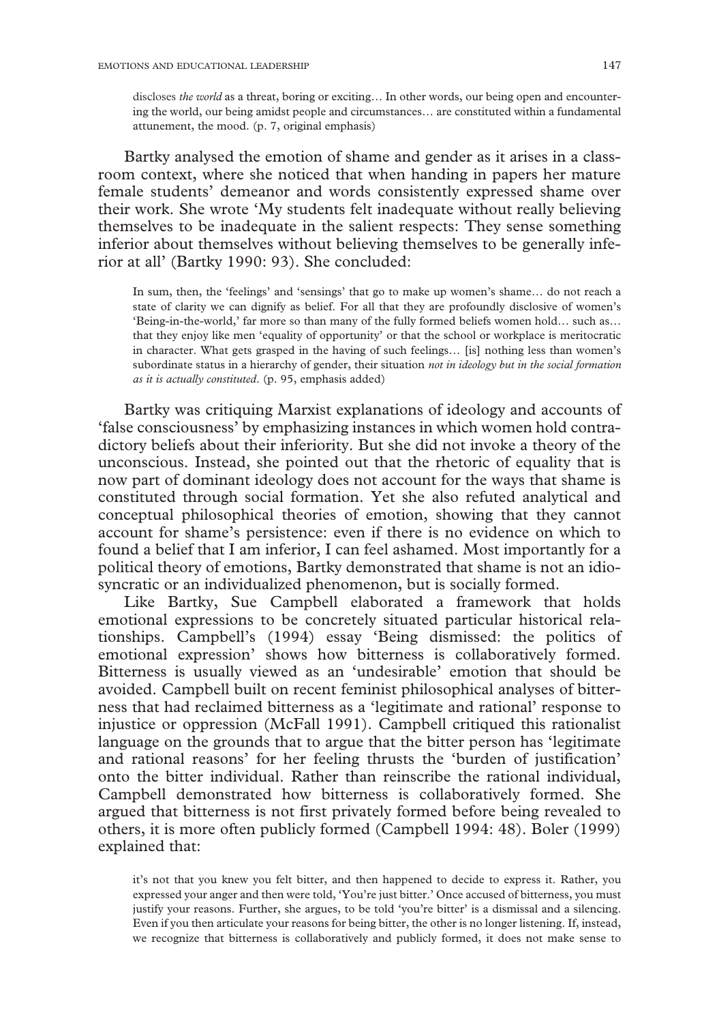discloses *the world* as a threat, boring or exciting... In other words, our being open and encountering the world, our being amidst people and circumstances… are constituted within a fundamental attunement, the mood. (p. 7, original emphasis)

Bartky analysed the emotion of shame and gender as it arises in a classroom context, where she noticed that when handing in papers her mature female students' demeanor and words consistently expressed shame over their work. She wrote 'My students felt inadequate without really believing themselves to be inadequate in the salient respects: They sense something inferior about themselves without believing themselves to be generally inferior at all' (Bartky 1990: 93). She concluded:

In sum, then, the 'feelings' and 'sensings' that go to make up women's shame… do not reach a state of clarity we can dignify as belief. For all that they are profoundly disclosive of women's 'Being-in-the-world,' far more so than many of the fully formed beliefs women hold… such as… that they enjoy like men 'equality of opportunity' or that the school or workplace is meritocratic in character. What gets grasped in the having of such feelings… [is] nothing less than women's subordinate status in a hierarchy of gender, their situation *not in ideology but in the social formation as it is actually constituted*. (p. 95, emphasis added)

Bartky was critiquing Marxist explanations of ideology and accounts of 'false consciousness' by emphasizing instances in which women hold contradictory beliefs about their inferiority. But she did not invoke a theory of the unconscious. Instead, she pointed out that the rhetoric of equality that is now part of dominant ideology does not account for the ways that shame is constituted through social formation. Yet she also refuted analytical and conceptual philosophical theories of emotion, showing that they cannot account for shame's persistence: even if there is no evidence on which to found a belief that I am inferior, I can feel ashamed. Most importantly for a political theory of emotions, Bartky demonstrated that shame is not an idiosyncratic or an individualized phenomenon, but is socially formed.

Like Bartky, Sue Campbell elaborated a framework that holds emotional expressions to be concretely situated particular historical relationships. Campbell's (1994) essay 'Being dismissed: the politics of emotional expression' shows how bitterness is collaboratively formed. Bitterness is usually viewed as an 'undesirable' emotion that should be avoided. Campbell built on recent feminist philosophical analyses of bitterness that had reclaimed bitterness as a 'legitimate and rational' response to injustice or oppression (McFall 1991). Campbell critiqued this rationalist language on the grounds that to argue that the bitter person has 'legitimate and rational reasons' for her feeling thrusts the 'burden of justification' onto the bitter individual. Rather than reinscribe the rational individual, Campbell demonstrated how bitterness is collaboratively formed. She argued that bitterness is not first privately formed before being revealed to others, it is more often publicly formed (Campbell 1994: 48). Boler (1999) explained that:

it's not that you knew you felt bitter, and then happened to decide to express it. Rather, you expressed your anger and then were told, 'You're just bitter.' Once accused of bitterness, you must justify your reasons. Further, she argues, to be told 'you're bitter' is a dismissal and a silencing. Even if you then articulate your reasons for being bitter, the other is no longer listening. If, instead, we recognize that bitterness is collaboratively and publicly formed, it does not make sense to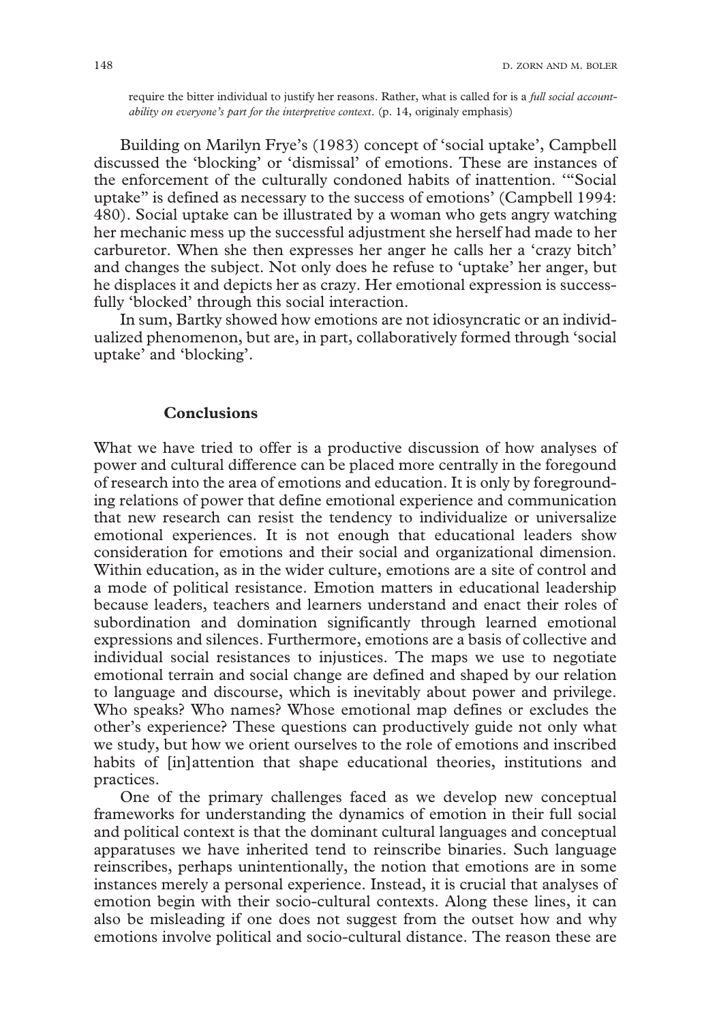require the bitter individual to justify her reasons. Rather, what is called for is a *full social accountability on everyone's part for the interpretive context*. (p. 14, originaly emphasis)

Building on Marilyn Frye's (1983) concept of 'social uptake', Campbell discussed the 'blocking' or 'dismissal' of emotions. These are instances of the enforcement of the culturally condoned habits of inattention. '"Social uptake" is defined as necessary to the success of emotions' (Campbell 1994: 480). Social uptake can be illustrated by a woman who gets angry watching her mechanic mess up the successful adjustment she herself had made to her carburetor. When she then expresses her anger he calls her a 'crazy bitch' and changes the subject. Not only does he refuse to 'uptake' her anger, but he displaces it and depicts her as crazy. Her emotional expression is successfully 'blocked' through this social interaction.

In sum, Bartky showed how emotions are not idiosyncratic or an individualized phenomenon, but are, in part, collaboratively formed through 'social uptake' and 'blocking'.

### **Conclusions**

What we have tried to offer is a productive discussion of how analyses of power and cultural difference can be placed more centrally in the foregound of research into the area of emotions and education. It is only by foregrounding relations of power that define emotional experience and communication that new research can resist the tendency to individualize or universalize emotional experiences. It is not enough that educational leaders show consideration for emotions and their social and organizational dimension. Within education, as in the wider culture, emotions are a site of control and a mode of political resistance. Emotion matters in educational leadership because leaders, teachers and learners understand and enact their roles of subordination and domination significantly through learned emotional expressions and silences. Furthermore, emotions are a basis of collective and individual social resistances to injustices. The maps we use to negotiate emotional terrain and social change are defined and shaped by our relation to language and discourse, which is inevitably about power and privilege. Who speaks? Who names? Whose emotional map defines or excludes the other's experience? These questions can productively guide not only what we study, but how we orient ourselves to the role of emotions and inscribed habits of [in]attention that shape educational theories, institutions and practices.

One of the primary challenges faced as we develop new conceptual frameworks for understanding the dynamics of emotion in their full social and political context is that the dominant cultural languages and conceptual apparatuses we have inherited tend to reinscribe binaries. Such language reinscribes, perhaps unintentionally, the notion that emotions are in some instances merely a personal experience. Instead, it is crucial that analyses of emotion begin with their socio-cultural contexts. Along these lines, it can also be misleading if one does not suggest from the outset how and why emotions involve political and socio-cultural distance. The reason these are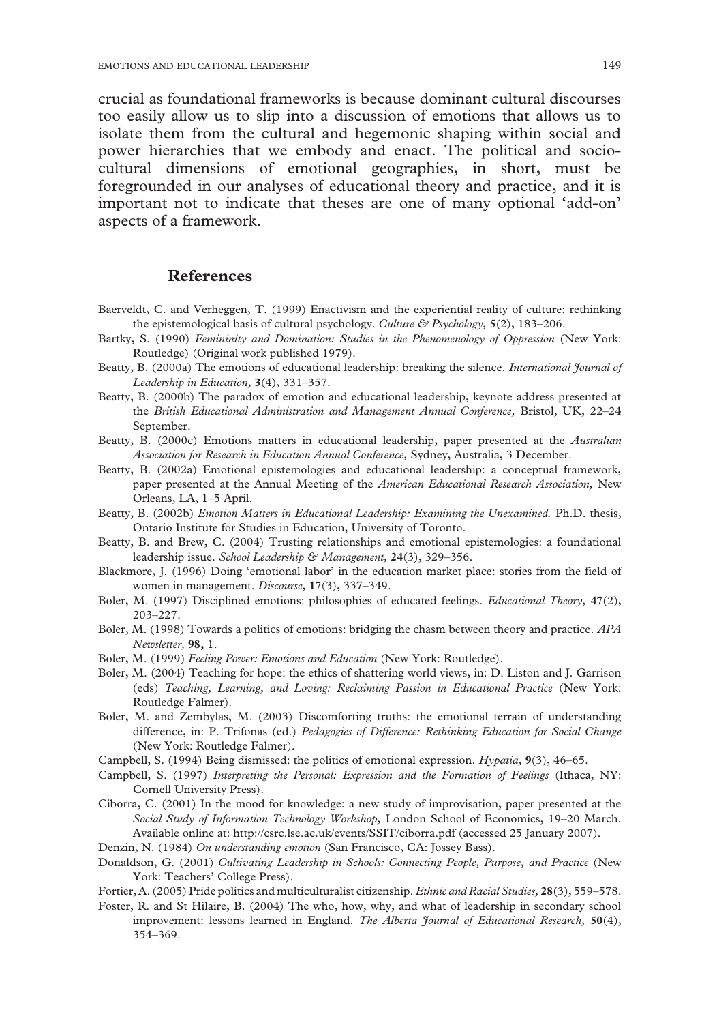crucial as foundational frameworks is because dominant cultural discourses too easily allow us to slip into a discussion of emotions that allows us to isolate them from the cultural and hegemonic shaping within social and power hierarchies that we embody and enact. The political and sociocultural dimensions of emotional geographies, in short, must be foregrounded in our analyses of educational theory and practice, and it is important not to indicate that theses are one of many optional 'add-on' aspects of a framework.

#### **References**

- Baerveldt, C. and Verheggen, T. (1999) Enactivism and the experiential reality of culture: rethinking the epistemological basis of cultural psychology. *Culture & Psychology,* **5**(2), 183–206.
- Bartky, S. (1990) *Femininity and Domination: Studies in the Phenomenology of Oppression* (New York: Routledge) (Original work published 1979).
- Beatty, B. (2000a) The emotions of educational leadership: breaking the silence. *International Journal of Leadership in Education,* **3**(4), 331–357.
- Beatty, B. (2000b) The paradox of emotion and educational leadership, keynote address presented at the *British Educational Administration and Management Annual Conference,* Bristol, UK, 22–24 **September**.
- Beatty, B. (2000c) Emotions matters in educational leadership, paper presented at the *Australian Association for Research in Education Annual Conference,* Sydney, Australia, 3 December.
- Beatty, B. (2002a) Emotional epistemologies and educational leadership: a conceptual framework, paper presented at the Annual Meeting of the *American Educational Research Association,* New Orleans, LA, 1–5 April.
- Beatty, B. (2002b) *Emotion Matters in Educational Leadership: Examining the Unexamined.* Ph.D. thesis, Ontario Institute for Studies in Education, University of Toronto.
- Beatty, B. and Brew, C. (2004) Trusting relationships and emotional epistemologies: a foundational leadership issue. *School Leadership & Management,* **24**(3), 329–356.
- Blackmore, J. (1996) Doing 'emotional labor' in the education market place: stories from the field of women in management. *Discourse,* **17**(3), 337–349.
- Boler, M. (1997) Disciplined emotions: philosophies of educated feelings. *Educational Theory,* **47**(2), 203–227.
- Boler, M. (1998) Towards a politics of emotions: bridging the chasm between theory and practice. *APA Newsletter,* **98,** 1.
- Boler, M. (1999) *Feeling Power: Emotions and Education* (New York: Routledge).
- Boler, M. (2004) Teaching for hope: the ethics of shattering world views, in: D. Liston and J. Garrison (eds) *Teaching, Learning, and Loving: Reclaiming Passion in Educational Practice* (New York: Routledge Falmer).
- Boler, M. and Zembylas, M. (2003) Discomforting truths: the emotional terrain of understanding difference, in: P. Trifonas (ed.) *Pedagogies of Difference: Rethinking Education for Social Change* (New York: Routledge Falmer).
- Campbell, S. (1994) Being dismissed: the politics of emotional expression. *Hypatia,* **9**(3), 46–65.
- Campbell, S. (1997) *Interpreting the Personal: Expression and the Formation of Feelings* (Ithaca, NY: Cornell University Press).
- Ciborra, C. (2001) In the mood for knowledge: a new study of improvisation, paper presented at the *Social Study of Information Technology Workshop,* London School of Economics, 19–20 March. Available online at: http://csrc.lse.ac.uk/events/SSIT/ciborra.pdf (accessed 25 January 2007).

Denzin, N. (1984) *On understanding emotion* (San Francisco, CA: Jossey Bass).

- Donaldson, G. (2001) *Cultivating Leadership in Schools: Connecting People, Purpose, and Practice* (New York: Teachers' College Press).
- Fortier, A. (2005) Pride politics and multiculturalist citizenship. *Ethnic and Racial Studies,* **28**(3), 559–578.
- Foster, R. and St Hilaire, B. (2004) The who, how, why, and what of leadership in secondary school improvement: lessons learned in England. *The Alberta Journal of Educational Research,* **50**(4), 354–369.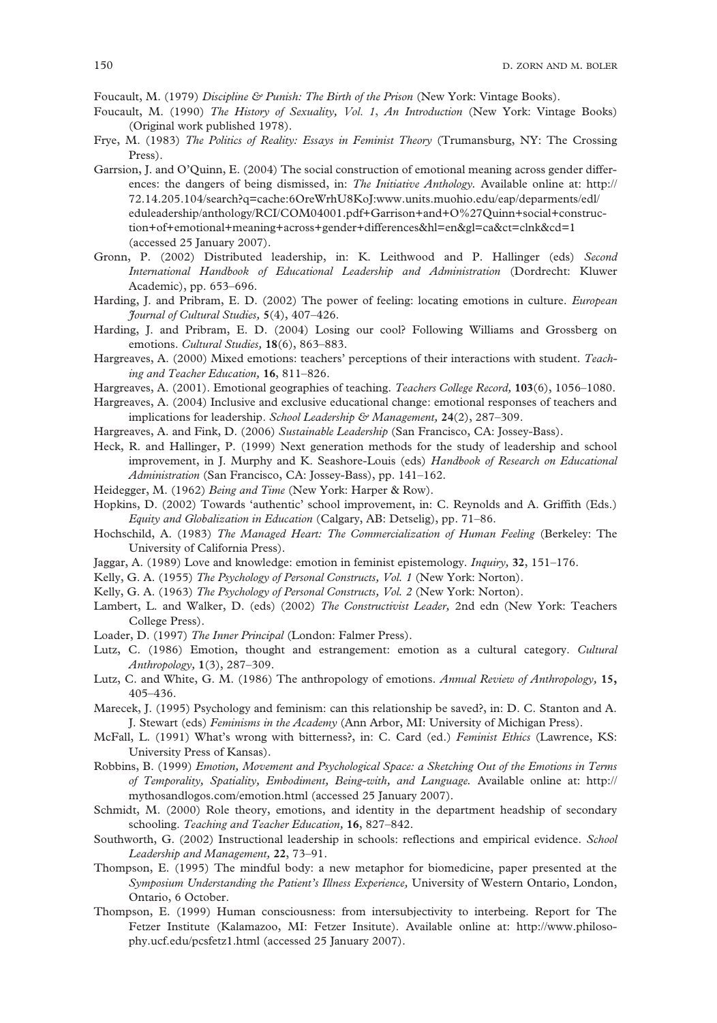Foucault, M. (1979) *Discipline & Punish: The Birth of the Prison* (New York: Vintage Books).

- Foucault, M. (1990) *The History of Sexuality, Vol. 1*, *An Introduction* (New York: Vintage Books) (Original work published 1978).
- Frye, M. (1983) *The Politics of Reality: Essays in Feminist Theory* (Trumansburg, NY: The Crossing Press).
- Garrsion, J. and O'Quinn, E. (2004) The social construction of emotional meaning across gender differences: the dangers of being dismissed, in: *The Initiative Anthology.* Available online at: http:// 72.14.205.104/search?q=cache:6OreWrhU8KoJ:www.units.muohio.edu/eap/deparments/edl/ eduleadership/anthology/RCI/COM04001.pdf+Garrison+and+O%27Quinn+social+construction+of+emotional+meaning+across+gender+differences&hl=en&gl=ca&ct=clnk&cd=1 (accessed 25 January 2007).
- Gronn, P. (2002) Distributed leadership, in: K. Leithwood and P. Hallinger (eds) *Second International Handbook of Educational Leadership and Administration* (Dordrecht: Kluwer Academic), pp. 653–696.
- Harding, J. and Pribram, E. D. (2002) The power of feeling: locating emotions in culture. *European Journal of Cultural Studies,* **5**(4), 407–426.
- Harding, J. and Pribram, E. D. (2004) Losing our cool? Following Williams and Grossberg on emotions. *Cultural Studies,* **18**(6), 863–883.
- Hargreaves, A. (2000) Mixed emotions: teachers' perceptions of their interactions with student. *Teaching and Teacher Education,* **16**, 811–826.
- Hargreaves, A. (2001). Emotional geographies of teaching. *Teachers College Record,* **103**(6), 1056–1080.
- Hargreaves, A. (2004) Inclusive and exclusive educational change: emotional responses of teachers and implications for leadership. *School Leadership & Management,* **24**(2), 287–309.
- Hargreaves, A. and Fink, D. (2006) *Sustainable Leadership* (San Francisco, CA: Jossey-Bass).
- Heck, R. and Hallinger, P. (1999) Next generation methods for the study of leadership and school improvement, in J. Murphy and K. Seashore-Louis (eds) *Handbook of Research on Educational Administration* (San Francisco, CA: Jossey-Bass), pp. 141–162.
- Heidegger, M. (1962) *Being and Time* (New York: Harper & Row).
- B.Hopkins, D. (2002) Towards 'authentic' school improvement, in: C. Reynolds and A. Griffith (Eds.) *Equity and Globalization in Education* (Calgary, AB: Detselig), pp. 71–86.
- C.Hochschild, A. (1983) *The Managed Heart: The Commercialization of Human Feeling* (Berkeley: The University of California Press).
- Jaggar, A. (1989) Love and knowledge: emotion in feminist epistemology. *Inquiry,* **32**, 151–176.
- Kelly, G. A. (1955) *The Psychology of Personal Constructs, Vol. 1* (New York: Norton).
- Kelly, G. A. (1963) *The Psychology of Personal Constructs, Vol. 2* (New York: Norton).
- Lambert, L. and Walker, D. (eds) (2002) *The Constructivist Leader,* 2nd edn (New York: Teachers College Press).
- Loader, D. (1997) *The Inner Principal* (London: Falmer Press).
- Lutz, C. (1986) Emotion, thought and estrangement: emotion as a cultural category. *Cultural Anthropology,* **1**(3), 287–309.
- Lutz, C. and White, G. M. (1986) The anthropology of emotions. *Annual Review of Anthropology,* **15,** 405–436.
- Marecek, J. (1995) Psychology and feminism: can this relationship be saved?, in: D. C. Stanton and A. J. Stewart (eds) *Feminisms in the Academy* (Ann Arbor, MI: University of Michigan Press).
- McFall, L. (1991) What's wrong with bitterness?, in: C. Card (ed.) *Feminist Ethics* (Lawrence, KS: University Press of Kansas).
- Robbins, B. (1999) *Emotion, Movement and Psychological Space: a Sketching Out of the Emotions in Terms of Temporality, Spatiality, Embodiment, Being-with, and Language.* Available online at: http:// mythosandlogos.com/emotion.html (accessed 25 January 2007).
- Schmidt, M. (2000) Role theory, emotions, and identity in the department headship of secondary schooling. *Teaching and Teacher Education,* **16**, 827–842.
- Southworth, G. (2002) Instructional leadership in schools: reflections and empirical evidence. *School Leadership and Management,* **22**, 73–91.
- Thompson, E. (1995) The mindful body: a new metaphor for biomedicine, paper presented at the *Symposium Understanding the Patient's Illness Experience,* University of Western Ontario, London, Ontario, 6 October.
- Thompson, E. (1999) Human consciousness: from intersubjectivity to interbeing. Report for The Fetzer Institute (Kalamazoo, MI: Fetzer Insitute). Available online at: http://www.philosophy.ucf.edu/pcsfetz1.html (accessed 25 January 2007).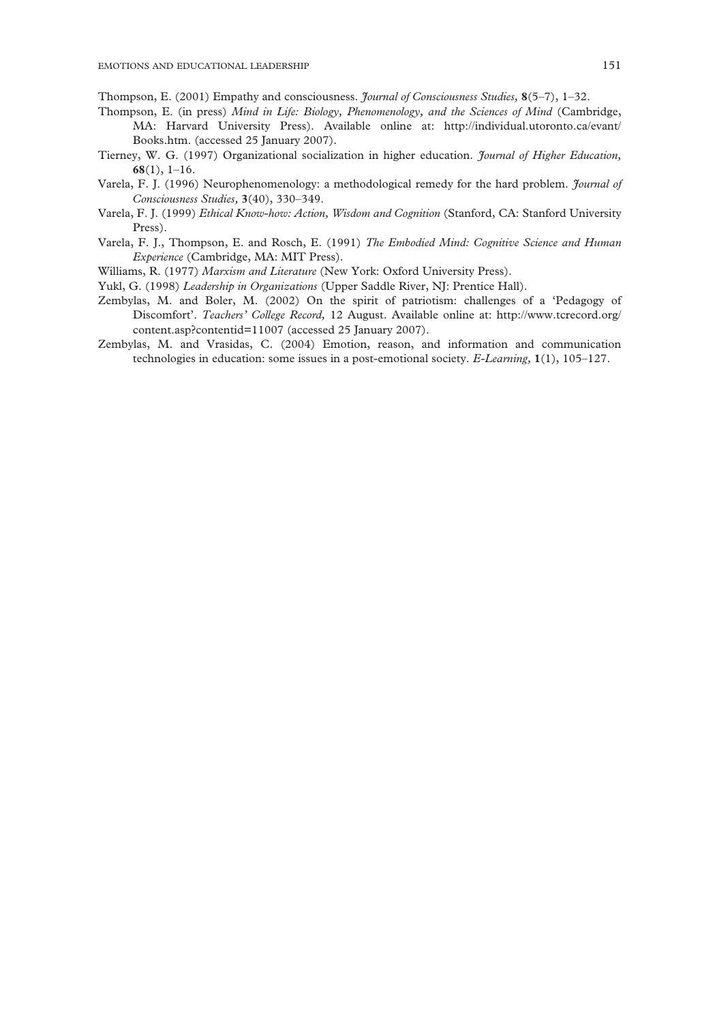Thompson, E. (2001) Empathy and consciousness. *Journal of Consciousness Studies,* **8**(5–7), 1–32.

- Thompson, E. (in press) *Mind in Life: Biology, Phenomenology, and the Sciences of Mind* (Cambridge, MA: Harvard University Press). Available online at: http://individual.utoronto.ca/evant/ Books.htm. (accessed 25 January 2007).
- Tierney, W. G. (1997) Organizational socialization in higher education. *Journal of Higher Education,* **68**(1), 1–16.
- Varela, F. J. (1996) Neurophenomenology: a methodological remedy for the hard problem. *Journal of Consciousness Studies,* **3**(40), 330–349.
- Varela, F. J. (1999) *Ethical Know-how: Action, Wisdom and Cognition* (Stanford, CA: Stanford University Press).
- Varela, F. J., Thompson, E. and Rosch, E. (1991) *The Embodied Mind: Cognitive Science and Human Experience* (Cambridge, MA: MIT Press).
- Williams, R. (1977) *Marxism and Literature* (New York: Oxford University Press).
- Yukl, G. (1998) *Leadership in Organizations* (Upper Saddle River, NJ: Prentice Hall).
- Zembylas, M. and Boler, M. (2002) On the spirit of patriotism: challenges of a 'Pedagogy of Discomfort'. *Teachers' College Record,* 12 August. Available online at: http://www.tcrecord.org/ content.asp?contentid=11007 (accessed 25 January 2007).
- Zembylas, M. and Vrasidas, C. (2004) Emotion, reason, and information and communication technologies in education: some issues in a post-emotional society. *E-Learning,* **1**(1), 105–127.